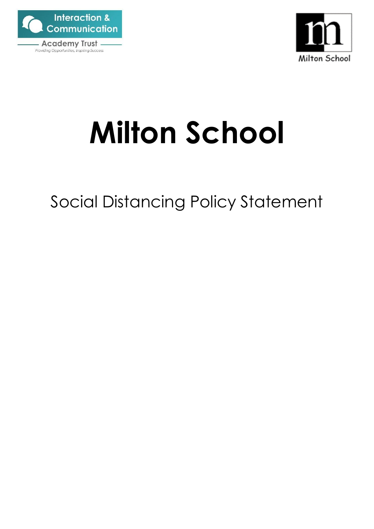

Providing Opportunities, Inspiring Success



# **Milton School**

# Social Distancing Policy Statement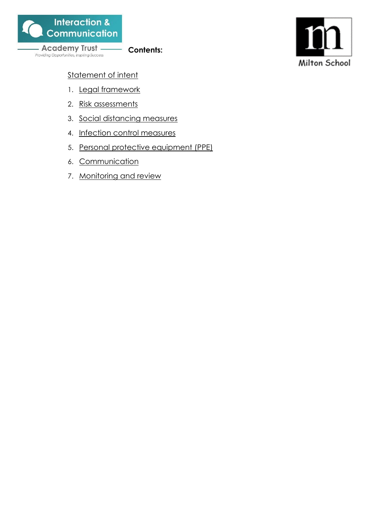

- Academy Trust -

**Contents:**



# [Statement of intent](#page-2-0)

- 1. [Legal framework](#page-3-0)
- 2. [Risk assessments](#page-3-1)
- 3. [Social distancing measures](#page-4-0)
- 4. [Infection control measures](#page-3-1)
- 5. [Personal protective equipment \(PPE\)](#page-8-0)
- 6. [Communication](#page-10-0)
- 7. [Monitoring and review](#page-10-1)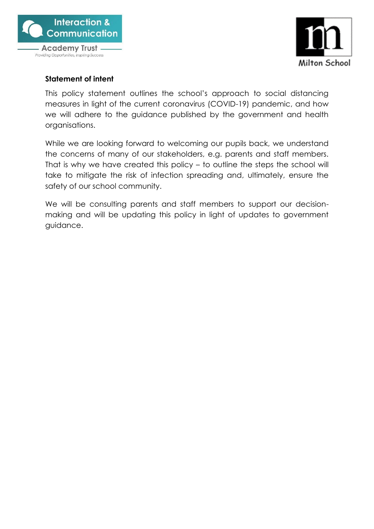

Milton School

# <span id="page-2-0"></span>**Statement of intent**

This policy statement outlines the school's approach to social distancing measures in light of the current coronavirus (COVID-19) pandemic, and how we will adhere to the guidance published by the government and health organisations.

While we are looking forward to welcoming our pupils back, we understand the concerns of many of our stakeholders, e.g. parents and staff members. That is why we have created this policy – to outline the steps the school will take to mitigate the risk of infection spreading and, ultimately, ensure the safety of our school community.

We will be consulting parents and staff members to support our decisionmaking and will be updating this policy in light of updates to government guidance.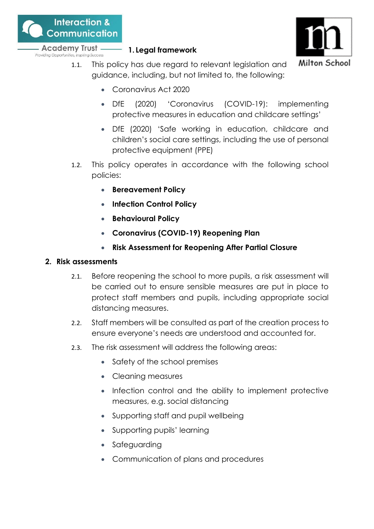

# <span id="page-3-0"></span>**1. Legal framework**



- 1.1. This policy has due regard to relevant legislation and guidance, including, but not limited to, the following:
	- Coronavirus Act 2020
	- DfE (2020) 'Coronavirus (COVID-19): implementing protective measures in education and childcare settings'
	- DfE (2020) 'Safe working in education, childcare and children's social care settings, including the use of personal protective equipment (PPE)
- 1.2. This policy operates in accordance with the following school policies:
	- **Bereavement Policy**
	- **Infection Control Policy**
	- **Behavioural Policy**
	- **Coronavirus (COVID-19) Reopening Plan**
	- **Risk Assessment for Reopening After Partial Closure**

# <span id="page-3-1"></span>**2. Risk assessments**

- 2.1. Before reopening the school to more pupils, a risk assessment will be carried out to ensure sensible measures are put in place to protect staff members and pupils, including appropriate social distancing measures.
- 2.2. Staff members will be consulted as part of the creation process to ensure everyone's needs are understood and accounted for.
- 2.3. The risk assessment will address the following areas:
	- Safety of the school premises
	- Cleaning measures
	- Infection control and the ability to implement protective measures, e.g. social distancing
	- Supporting staff and pupil wellbeing
	- Supporting pupils' learning
	- Safeauardina
	- Communication of plans and procedures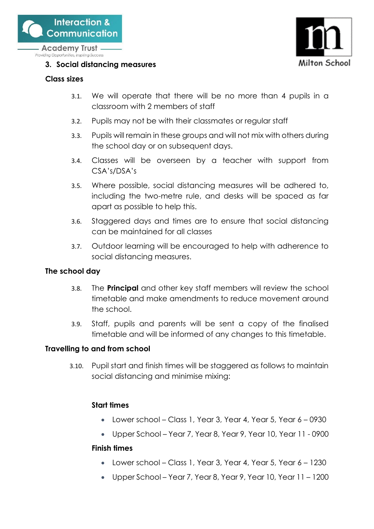



# <span id="page-4-0"></span>**3. Social distancing measures**

#### **Class sizes**

- 3.1. We will operate that there will be no more than 4 pupils in a classroom with 2 members of staff
- 3.2. Pupils may not be with their classmates or regular staff
- 3.3. Pupils will remain in these groups and will not mix with others during the school day or on subsequent days.
- 3.4. Classes will be overseen by a teacher with support from CSA's/DSA's
- 3.5. Where possible, social distancing measures will be adhered to, including the two-metre rule, and desks will be spaced as far apart as possible to help this.
- 3.6. Staggered days and times are to ensure that social distancing can be maintained for all classes
- 3.7. Outdoor learning will be encouraged to help with adherence to social distancing measures.

# **The school day**

- 3.8. The **Principal** and other key staff members will review the school timetable and make amendments to reduce movement around the school.
- 3.9. Staff, pupils and parents will be sent a copy of the finalised timetable and will be informed of any changes to this timetable.

# **Travelling to and from school**

3.10. Pupil start and finish times will be staggered as follows to maintain social distancing and minimise mixing:

# **Start times**

- $\bullet$  Lower school Class 1, Year 3, Year 4, Year 5, Year  $6 0930$
- Upper School Year 7, Year 8, Year 9, Year 10, Year 11 0900

#### **Finish times**

- Lower school Class 1, Year 3, Year 4, Year 5, Year 6 1230
- Upper School Year 7, Year 8, Year 9, Year 10, Year 11 1200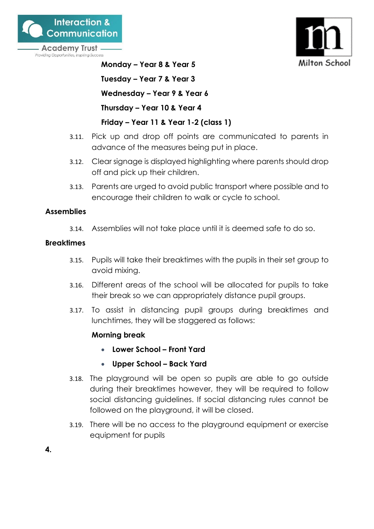



**Monday – Year 8 & Year 5 Tuesday – Year 7 & Year 3 Wednesday – Year 9 & Year 6 Thursday – Year 10 & Year 4 Friday – Year 11 & Year 1-2 (class 1)** 

- 3.11. Pick up and drop off points are communicated to parents in advance of the measures being put in place.
- 3.12. Clear signage is displayed highlighting where parents should drop off and pick up their children.
- 3.13. Parents are urged to avoid public transport where possible and to encourage their children to walk or cycle to school.

# **Assemblies**

3.14. Assemblies will not take place until it is deemed safe to do so.

#### **Breaktimes**

- 3.15. Pupils will take their breaktimes with the pupils in their set group to avoid mixing.
- 3.16. Different areas of the school will be allocated for pupils to take their break so we can appropriately distance pupil groups.
- 3.17. To assist in distancing pupil groups during breaktimes and lunchtimes, they will be staggered as follows:

# **Morning break**

- **Lower School – Front Yard**
- **Upper School – Back Yard**
- 3.18. The playground will be open so pupils are able to go outside during their breaktimes however, they will be required to follow social distancing guidelines. If social distancing rules cannot be followed on the playaround, it will be closed.
- 3.19. There will be no access to the playground equipment or exercise equipment for pupils

**4.**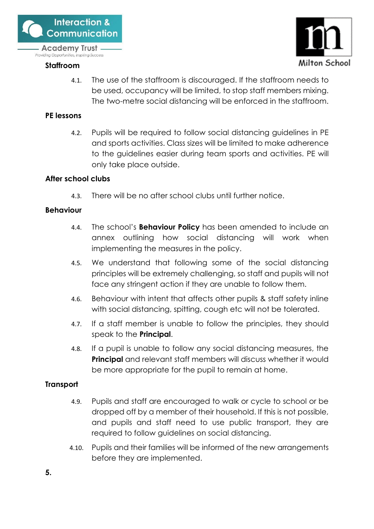

#### **Staffroom**



4.1. The use of the staffroom is discouraged. If the staffroom needs to be used, occupancy will be limited, to stop staff members mixing. The two-metre social distancing will be enforced in the staffroom.

# **PE lessons**

4.2. Pupils will be required to follow social distancing guidelines in PE and sports activities. Class sizes will be limited to make adherence to the guidelines easier during team sports and activities. PE will only take place outside.

# **After school clubs**

4.3. There will be no after school clubs until further notice.

# **Behaviour**

- 4.4. The school's **Behaviour Policy** has been amended to include an annex outlining how social distancing will work when implementing the measures in the policy.
- 4.5. We understand that following some of the social distancing principles will be extremely challenging, so staff and pupils will not face any stringent action if they are unable to follow them.
- 4.6. Behaviour with intent that affects other pupils & staff safety inline with social distancing, spitting, cough etc will not be tolerated.
- 4.7. If a staff member is unable to follow the principles, they should speak to the **Principal**.
- 4.8. If a pupil is unable to follow any social distancing measures, the **Principal** and relevant staff members will discuss whether it would be more appropriate for the pupil to remain at home.

# **Transport**

- 4.9. Pupils and staff are encouraged to walk or cycle to school or be dropped off by a member of their household. If this is not possible, and pupils and staff need to use public transport, they are required to follow guidelines on social distancing.
- 4.10. Pupils and their families will be informed of the new arrangements before they are implemented.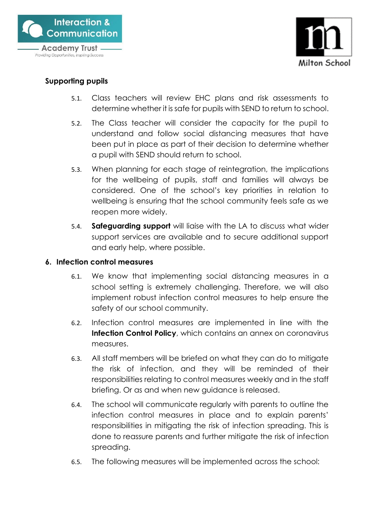



# **Supporting pupils**

- 5.1. Class teachers will review EHC plans and risk assessments to determine whether it is safe for pupils with SEND to return to school.
- 5.2. The Class teacher will consider the capacity for the pupil to understand and follow social distancing measures that have been put in place as part of their decision to determine whether a pupil with SEND should return to school.
- 5.3. When planning for each stage of reintegration, the implications for the wellbeing of pupils, staff and families will always be considered. One of the school's key priorities in relation to wellbeing is ensuring that the school community feels safe as we reopen more widely.
- 5.4. **Safeguarding support** will liaise with the LA to discuss what wider support services are available and to secure additional support and early help, where possible.

# **6. Infection control measures**

- 6.1. We know that implementing social distancing measures in a school setting is extremely challenging. Therefore, we will also implement robust infection control measures to help ensure the safety of our school community.
- 6.2. Infection control measures are implemented in line with the **Infection Control Policy**, which contains an annex on coronavirus measures.
- 6.3. All staff members will be briefed on what they can do to mitigate the risk of infection, and they will be reminded of their responsibilities relating to control measures weekly and in the staff briefing. Or as and when new guidance is released.
- 6.4. The school will communicate regularly with parents to outline the infection control measures in place and to explain parents' responsibilities in mitigating the risk of infection spreading. This is done to reassure parents and further mitigate the risk of infection spreading.
- 6.5. The following measures will be implemented across the school: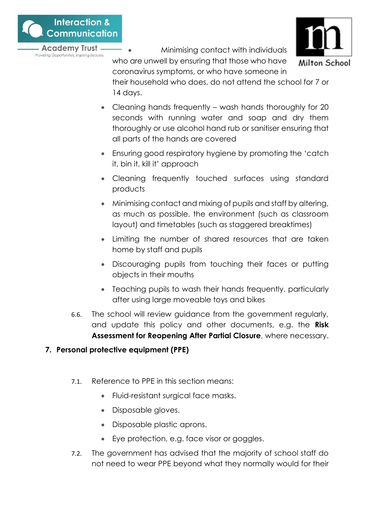

• Minimising contact with individuals



who are unwell by ensuring that those who have coronavirus symptoms, or who have someone in their household who does, do not attend the school for 7 or 14 days.

- Cleaning hands frequently wash hands thoroughly for 20 seconds with running water and soap and dry them thoroughly or use alcohol hand rub or sanitiser ensuring that all parts of the hands are covered
- Ensuring good respiratory hygiene by promoting the 'catch it, bin it, kill it' approach
- Cleaning frequently touched surfaces using standard products
- Minimising contact and mixing of pupils and staff by altering, as much as possible, the environment (such as classroom layout) and timetables (such as staggered breaktimes)
- Limiting the number of shared resources that are taken home by staff and pupils
- Discouraging pupils from touching their faces or putting objects in their mouths
- Teaching pupils to wash their hands frequently, particularly after using large moveable toys and bikes
- 6.6. The school will review guidance from the government regularly, and update this policy and other documents, e.g. the **Risk Assessment for Reopening After Partial Closure**, where necessary.

# <span id="page-8-0"></span>**7. Personal protective equipment (PPE)**

- 7.1. Reference to PPE in this section means:
	- Fluid-resistant surgical face masks.
	- Disposable gloves.
	- Disposable plastic aprons.
	- Eye protection, e.g. face visor or goggles.
- 7.2. The government has advised that the majority of school staff do not need to wear PPE beyond what they normally would for their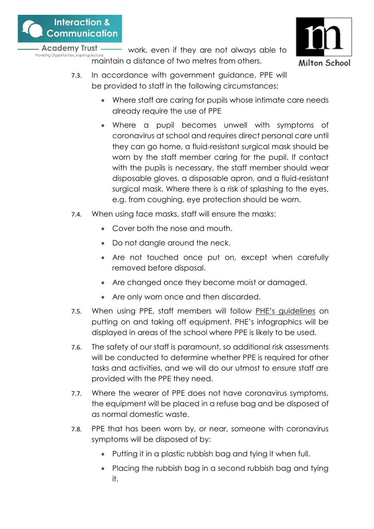

work, even if they are not always able to maintain a distance of two metres from others.



- 7.3. In accordance with government guidance, PPE will be provided to staff in the following circumstances:
	- Where staff are caring for pupils whose intimate care needs already require the use of PPE
	- Where a pupil becomes unwell with symptoms of coronavirus at school and requires direct personal care until they can go home, a fluid-resistant surgical mask should be worn by the staff member caring for the pupil. If contact with the pupils is necessary, the staff member should wear disposable gloves, a disposable apron, and a fluid-resistant surgical mask. Where there is a risk of splashing to the eyes, e.g. from coughing, eye protection should be worn.
- 7.4. When using face masks, staff will ensure the masks:
	- Cover both the nose and mouth.
	- Do not dangle around the neck.
	- Are not touched once put on, except when carefully removed before disposal.
	- Are changed once they become moist or damaged.
	- Are only worn once and then discarded.
- 7.5. When using PPE, staff members will follow [PHE's guidelines](https://www.gov.uk/government/publications/covid-19-personal-protective-equipment-use-for-non-aerosol-generating-procedures) on putting on and taking off equipment. PHE's infographics will be displayed in areas of the school where PPE is likely to be used.
- 7.6. The safety of our staff is paramount, so additional risk assessments will be conducted to determine whether PPE is required for other tasks and activities, and we will do our utmost to ensure staff are provided with the PPE they need.
- 7.7. Where the wearer of PPE does not have coronavirus symptoms, the equipment will be placed in a refuse bag and be disposed of as normal domestic waste.
- 7.8. PPE that has been worn by, or near, someone with coronavirus symptoms will be disposed of by:
	- Putting it in a plastic rubbish bag and tying it when full.
	- Placing the rubbish bag in a second rubbish bag and tying it.